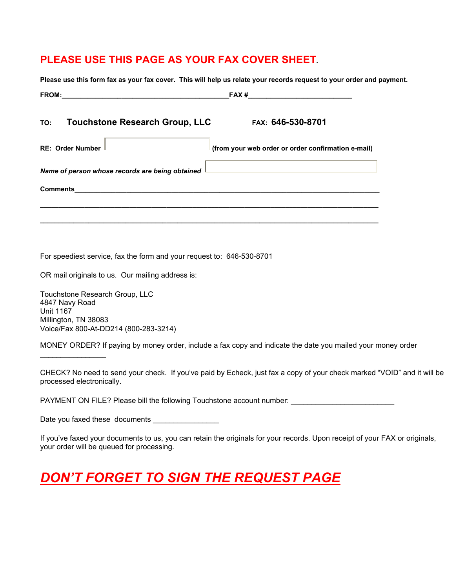## **PLEASE USE THIS PAGE AS YOUR FAX COVER SHEET.**

| TO: Touchstone Research Group, LLC                                                                                                                                                                                                                 | 101–646-530-870                                    |
|----------------------------------------------------------------------------------------------------------------------------------------------------------------------------------------------------------------------------------------------------|----------------------------------------------------|
| RE: Order Number<br>and the control of the control of the control of the control of the control of the control of the control of the control of the control of the control of the control of the control of the control of the control of the cont | (from your web order or order confirmation e-mail) |
| Name of person whose records are being obtained I                                                                                                                                                                                                  |                                                    |
|                                                                                                                                                                                                                                                    |                                                    |

For speediest service, fax the form and your request to: 646-530-8701

OR mail originals to us. Our mailing address is:

Touchstone Research Group, LLC 4847 Navy Road Unit 1167 Millington, TN 38083 Voice/Fax 800-At-DD214 (800-283-3214)

 $\overline{\phantom{a}}$  , where  $\overline{\phantom{a}}$ 

MONEY ORDER? If paying by money order, include a fax copy and indicate the date you mailed your money order

CHECK? No need to send your check. If you've paid by Echeck, just fax a copy of your check marked "VOID" and it will be processed electronically.

PAYMENT ON FILE? Please bill the following Touchstone account number: \_\_\_\_\_\_\_\_\_\_

Date you faxed these documents \_\_\_\_\_\_\_\_\_\_\_\_\_\_\_\_

If you've faxed your documents to us, you can retain the originals for your records. Upon receipt of your FAX or originals, your order will be queued for processing.

## *DON'T FORGET TO SIGN THE REQUEST PAGE*